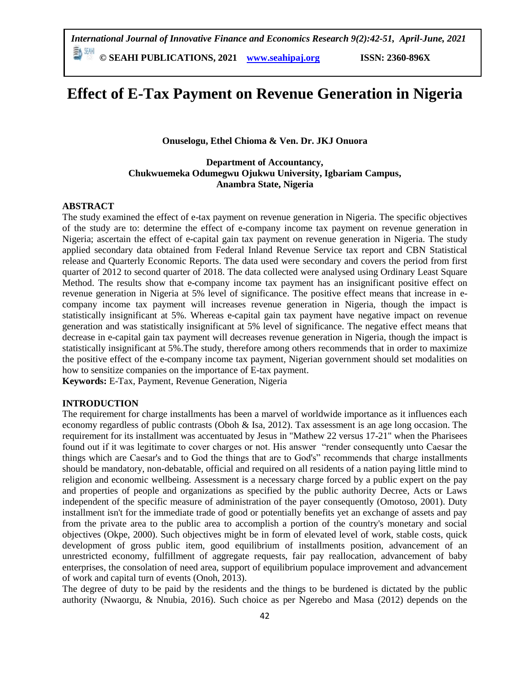**© SEAHI PUBLICATIONS, 2021 [www.seahipaj.org](http://www.seahipaj.org/) ISSN: 2360-896X**

# **Effect of E-Tax Payment on Revenue Generation in Nigeria**

**Onuselogu, Ethel Chioma & Ven. Dr. JKJ Onuora**

# **Department of Accountancy, Chukwuemeka Odumegwu Ojukwu University, Igbariam Campus, Anambra State, Nigeria**

## **ABSTRACT**

The study examined the effect of e-tax payment on revenue generation in Nigeria. The specific objectives of the study are to: determine the effect of e-company income tax payment on revenue generation in Nigeria; ascertain the effect of e-capital gain tax payment on revenue generation in Nigeria. The study applied secondary data obtained from Federal Inland Revenue Service tax report and CBN Statistical release and Quarterly Economic Reports. The data used were secondary and covers the period from first quarter of 2012 to second quarter of 2018. The data collected were analysed using Ordinary Least Square Method. The results show that e-company income tax payment has an insignificant positive effect on revenue generation in Nigeria at 5% level of significance. The positive effect means that increase in ecompany income tax payment will increases revenue generation in Nigeria, though the impact is statistically insignificant at 5%. Whereas e-capital gain tax payment have negative impact on revenue generation and was statistically insignificant at 5% level of significance. The negative effect means that decrease in e-capital gain tax payment will decreases revenue generation in Nigeria, though the impact is statistically insignificant at 5%.The study, therefore among others recommends that in order to maximize the positive effect of the e-company income tax payment, Nigerian government should set modalities on how to sensitize companies on the importance of E-tax payment.

**Keywords:** E-Tax, Payment, Revenue Generation, Nigeria

## **INTRODUCTION**

The requirement for charge installments has been a marvel of worldwide importance as it influences each economy regardless of public contrasts (Oboh & Isa, 2012). Tax assessment is an age long occasion. The requirement for its installment was accentuated by Jesus in "Mathew 22 versus 17-21" when the Pharisees found out if it was legitimate to cover charges or not. His answer "render consequently unto Caesar the things which are Caesar's and to God the things that are to God's" recommends that charge installments should be mandatory, non-debatable, official and required on all residents of a nation paying little mind to religion and economic wellbeing. Assessment is a necessary charge forced by a public expert on the pay and properties of people and organizations as specified by the public authority Decree, Acts or Laws independent of the specific measure of administration of the payer consequently (Omotoso, 2001). Duty installment isn't for the immediate trade of good or potentially benefits yet an exchange of assets and pay from the private area to the public area to accomplish a portion of the country's monetary and social objectives (Okpe, 2000). Such objectives might be in form of elevated level of work, stable costs, quick development of gross public item, good equilibrium of installments position, advancement of an unrestricted economy, fulfillment of aggregate requests, fair pay reallocation, advancement of baby enterprises, the consolation of need area, support of equilibrium populace improvement and advancement of work and capital turn of events (Onoh, 2013).

The degree of duty to be paid by the residents and the things to be burdened is dictated by the public authority (Nwaorgu, & Nnubia, 2016). Such choice as per Ngerebo and Masa (2012) depends on the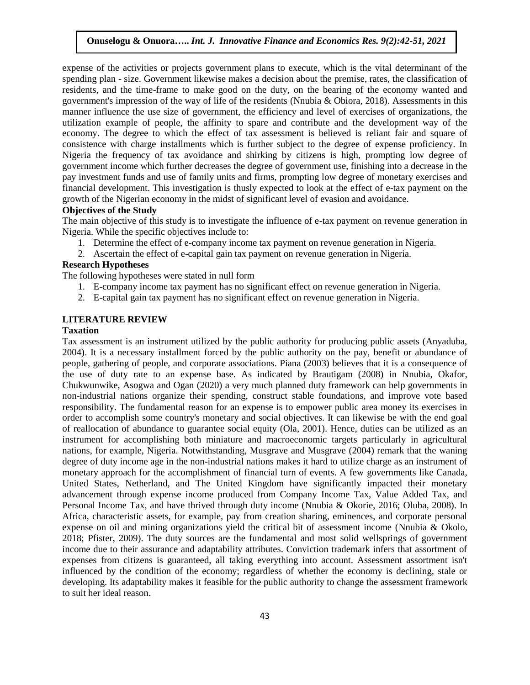expense of the activities or projects government plans to execute, which is the vital determinant of the spending plan - size. Government likewise makes a decision about the premise, rates, the classification of residents, and the time-frame to make good on the duty, on the bearing of the economy wanted and government's impression of the way of life of the residents (Nnubia & Obiora, 2018). Assessments in this manner influence the use size of government, the efficiency and level of exercises of organizations, the utilization example of people, the affinity to spare and contribute and the development way of the economy. The degree to which the effect of tax assessment is believed is reliant fair and square of consistence with charge installments which is further subject to the degree of expense proficiency. In Nigeria the frequency of tax avoidance and shirking by citizens is high, prompting low degree of government income which further decreases the degree of government use, finishing into a decrease in the pay investment funds and use of family units and firms, prompting low degree of monetary exercises and financial development. This investigation is thusly expected to look at the effect of e-tax payment on the growth of the Nigerian economy in the midst of significant level of evasion and avoidance.

# **Objectives of the Study**

The main objective of this study is to investigate the influence of e-tax payment on revenue generation in Nigeria. While the specific objectives include to:

- 1. Determine the effect of e-company income tax payment on revenue generation in Nigeria.
- 2. Ascertain the effect of e-capital gain tax payment on revenue generation in Nigeria.

## **Research Hypotheses**

The following hypotheses were stated in null form

- 1. E-company income tax payment has no significant effect on revenue generation in Nigeria.
- 2. E-capital gain tax payment has no significant effect on revenue generation in Nigeria.

## **LITERATURE REVIEW**

#### **Taxation**

Tax assessment is an instrument utilized by the public authority for producing public assets (Anyaduba, 2004). It is a necessary installment forced by the public authority on the pay, benefit or abundance of people, gathering of people, and corporate associations. Piana (2003) believes that it is a consequence of the use of duty rate to an expense base. As indicated by Brautigam (2008) in Nnubia, Okafor, Chukwunwike, Asogwa and Ogan (2020) a very much planned duty framework can help governments in non-industrial nations organize their spending, construct stable foundations, and improve vote based responsibility. The fundamental reason for an expense is to empower public area money its exercises in order to accomplish some country's monetary and social objectives. It can likewise be with the end goal of reallocation of abundance to guarantee social equity (Ola, 2001). Hence, duties can be utilized as an instrument for accomplishing both miniature and macroeconomic targets particularly in agricultural nations, for example, Nigeria. Notwithstanding, Musgrave and Musgrave (2004) remark that the waning degree of duty income age in the non-industrial nations makes it hard to utilize charge as an instrument of monetary approach for the accomplishment of financial turn of events. A few governments like Canada, United States, Netherland, and The United Kingdom have significantly impacted their monetary advancement through expense income produced from Company Income Tax, Value Added Tax, and Personal Income Tax, and have thrived through duty income (Nnubia & Okorie, 2016; Oluba, 2008). In Africa, characteristic assets, for example, pay from creation sharing, eminences, and corporate personal expense on oil and mining organizations yield the critical bit of assessment income (Nnubia & Okolo, 2018; Pfister, 2009). The duty sources are the fundamental and most solid wellsprings of government income due to their assurance and adaptability attributes. Conviction trademark infers that assortment of expenses from citizens is guaranteed, all taking everything into account. Assessment assortment isn't influenced by the condition of the economy; regardless of whether the economy is declining, stale or developing. Its adaptability makes it feasible for the public authority to change the assessment framework to suit her ideal reason.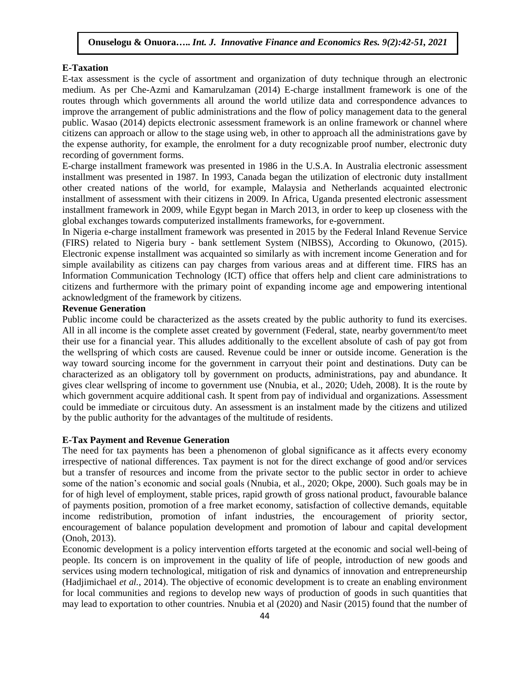#### **E-Taxation**

E-tax assessment is the cycle of assortment and organization of duty technique through an electronic medium. As per Che-Azmi and Kamarulzaman (2014) E-charge installment framework is one of the routes through which governments all around the world utilize data and correspondence advances to improve the arrangement of public administrations and the flow of policy management data to the general public. Wasao (2014) depicts electronic assessment framework is an online framework or channel where citizens can approach or allow to the stage using web, in other to approach all the administrations gave by the expense authority, for example, the enrolment for a duty recognizable proof number, electronic duty recording of government forms.

E-charge installment framework was presented in 1986 in the U.S.A. In Australia electronic assessment installment was presented in 1987. In 1993, Canada began the utilization of electronic duty installment other created nations of the world, for example, Malaysia and Netherlands acquainted electronic installment of assessment with their citizens in 2009. In Africa, Uganda presented electronic assessment installment framework in 2009, while Egypt began in March 2013, in order to keep up closeness with the global exchanges towards computerized installments frameworks, for e-government.

In Nigeria e-charge installment framework was presented in 2015 by the Federal Inland Revenue Service (FIRS) related to Nigeria bury - bank settlement System (NIBSS), According to Okunowo, (2015). Electronic expense installment was acquainted so similarly as with increment income Generation and for simple availability as citizens can pay charges from various areas and at different time. FIRS has an Information Communication Technology (ICT) office that offers help and client care administrations to citizens and furthermore with the primary point of expanding income age and empowering intentional acknowledgment of the framework by citizens.

#### **Revenue Generation**

Public income could be characterized as the assets created by the public authority to fund its exercises. All in all income is the complete asset created by government (Federal, state, nearby government/to meet their use for a financial year. This alludes additionally to the excellent absolute of cash of pay got from the wellspring of which costs are caused. Revenue could be inner or outside income. Generation is the way toward sourcing income for the government in carryout their point and destinations. Duty can be characterized as an obligatory toll by government on products, administrations, pay and abundance. It gives clear wellspring of income to government use (Nnubia, et al., 2020; Udeh, 2008). It is the route by which government acquire additional cash. It spent from pay of individual and organizations. Assessment could be immediate or circuitous duty. An assessment is an instalment made by the citizens and utilized by the public authority for the advantages of the multitude of residents.

#### **E-Tax Payment and Revenue Generation**

The need for tax payments has been a phenomenon of global significance as it affects every economy irrespective of national differences. Tax payment is not for the direct exchange of good and/or services but a transfer of resources and income from the private sector to the public sector in order to achieve some of the nation's economic and social goals (Nnubia, et al., 2020; Okpe, 2000). Such goals may be in for of high level of employment, stable prices, rapid growth of gross national product, favourable balance of payments position, promotion of a free market economy, satisfaction of collective demands, equitable income redistribution, promotion of infant industries, the encouragement of priority sector, encouragement of balance population development and promotion of labour and capital development (Onoh, 2013).

Economic development is a policy intervention efforts targeted at the economic and social well-being of people. Its concern is on improvement in the quality of life of people, introduction of new goods and services using modern technological, mitigation of risk and dynamics of innovation and entrepreneurship (Hadjimichael *et al.*, 2014). The objective of economic development is to create an enabling environment for local communities and regions to develop new ways of production of goods in such quantities that may lead to exportation to other countries. Nnubia et al (2020) and Nasir (2015) found that the number of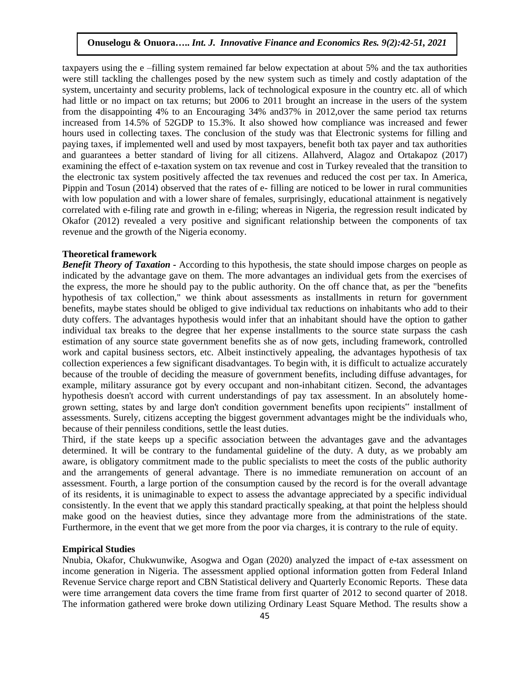taxpayers using the e –filling system remained far below expectation at about 5% and the tax authorities were still tackling the challenges posed by the new system such as timely and costly adaptation of the system, uncertainty and security problems, lack of technological exposure in the country etc. all of which had little or no impact on tax returns; but 2006 to 2011 brought an increase in the users of the system from the disappointing 4% to an Encouraging 34% and37% in 2012,over the same period tax returns increased from 14.5% of 52GDP to 15.3%. It also showed how compliance was increased and fewer hours used in collecting taxes. The conclusion of the study was that Electronic systems for filling and paying taxes, if implemented well and used by most taxpayers, benefit both tax payer and tax authorities and guarantees a better standard of living for all citizens. Allahverd, Alagoz and Ortakapoz (2017) examining the effect of e-taxation system on tax revenue and cost in Turkey revealed that the transition to the electronic tax system positively affected the tax revenues and reduced the cost per tax. In America, Pippin and Tosun (2014) observed that the rates of e- filling are noticed to be lower in rural communities with low population and with a lower share of females, surprisingly, educational attainment is negatively correlated with e-filing rate and growth in e-filing; whereas in Nigeria, the regression result indicated by Okafor (2012) revealed a very positive and significant relationship between the components of tax revenue and the growth of the Nigeria economy.

## **Theoretical framework**

*Benefit Theory of Taxation -* According to this hypothesis, the state should impose charges on people as indicated by the advantage gave on them. The more advantages an individual gets from the exercises of the express, the more he should pay to the public authority. On the off chance that, as per the "benefits hypothesis of tax collection," we think about assessments as installments in return for government benefits, maybe states should be obliged to give individual tax reductions on inhabitants who add to their duty coffers. The advantages hypothesis would infer that an inhabitant should have the option to gather individual tax breaks to the degree that her expense installments to the source state surpass the cash estimation of any source state government benefits she as of now gets, including framework, controlled work and capital business sectors, etc. Albeit instinctively appealing, the advantages hypothesis of tax collection experiences a few significant disadvantages. To begin with, it is difficult to actualize accurately because of the trouble of deciding the measure of government benefits, including diffuse advantages, for example, military assurance got by every occupant and non-inhabitant citizen. Second, the advantages hypothesis doesn't accord with current understandings of pay tax assessment. In an absolutely homegrown setting, states by and large don't condition government benefits upon recipients" installment of assessments. Surely, citizens accepting the biggest government advantages might be the individuals who, because of their penniless conditions, settle the least duties.

Third, if the state keeps up a specific association between the advantages gave and the advantages determined. It will be contrary to the fundamental guideline of the duty. A duty, as we probably am aware, is obligatory commitment made to the public specialists to meet the costs of the public authority and the arrangements of general advantage. There is no immediate remuneration on account of an assessment. Fourth, a large portion of the consumption caused by the record is for the overall advantage of its residents, it is unimaginable to expect to assess the advantage appreciated by a specific individual consistently. In the event that we apply this standard practically speaking, at that point the helpless should make good on the heaviest duties, since they advantage more from the administrations of the state. Furthermore, in the event that we get more from the poor via charges, it is contrary to the rule of equity.

#### **Empirical Studies**

Nnubia, Okafor, Chukwunwike, Asogwa and Ogan (2020) analyzed the impact of e-tax assessment on income generation in Nigeria. The assessment applied optional information gotten from Federal Inland Revenue Service charge report and CBN Statistical delivery and Quarterly Economic Reports. These data were time arrangement data covers the time frame from first quarter of 2012 to second quarter of 2018. The information gathered were broke down utilizing Ordinary Least Square Method. The results show a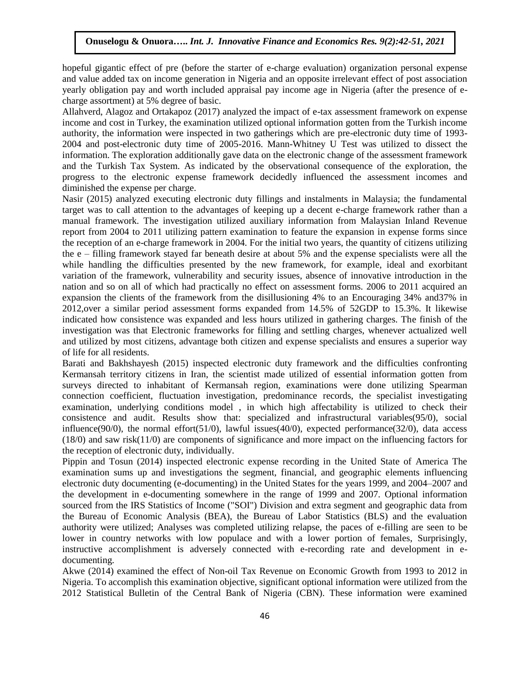hopeful gigantic effect of pre (before the starter of e-charge evaluation) organization personal expense and value added tax on income generation in Nigeria and an opposite irrelevant effect of post association yearly obligation pay and worth included appraisal pay income age in Nigeria (after the presence of echarge assortment) at 5% degree of basic.

Allahverd, Alagoz and Ortakapoz (2017) analyzed the impact of e-tax assessment framework on expense income and cost in Turkey, the examination utilized optional information gotten from the Turkish income authority, the information were inspected in two gatherings which are pre-electronic duty time of 1993- 2004 and post-electronic duty time of 2005-2016. Mann-Whitney U Test was utilized to dissect the information. The exploration additionally gave data on the electronic change of the assessment framework and the Turkish Tax System. As indicated by the observational consequence of the exploration, the progress to the electronic expense framework decidedly influenced the assessment incomes and diminished the expense per charge.

Nasir (2015) analyzed executing electronic duty fillings and instalments in Malaysia; the fundamental target was to call attention to the advantages of keeping up a decent e-charge framework rather than a manual framework. The investigation utilized auxiliary information from Malaysian Inland Revenue report from 2004 to 2011 utilizing pattern examination to feature the expansion in expense forms since the reception of an e-charge framework in 2004. For the initial two years, the quantity of citizens utilizing the e – filling framework stayed far beneath desire at about 5% and the expense specialists were all the while handling the difficulties presented by the new framework, for example, ideal and exorbitant variation of the framework, vulnerability and security issues, absence of innovative introduction in the nation and so on all of which had practically no effect on assessment forms. 2006 to 2011 acquired an expansion the clients of the framework from the disillusioning 4% to an Encouraging 34% and37% in 2012,over a similar period assessment forms expanded from 14.5% of 52GDP to 15.3%. It likewise indicated how consistence was expanded and less hours utilized in gathering charges. The finish of the investigation was that Electronic frameworks for filling and settling charges, whenever actualized well and utilized by most citizens, advantage both citizen and expense specialists and ensures a superior way of life for all residents.

Barati and Bakhshayesh (2015) inspected electronic duty framework and the difficulties confronting Kermansah territory citizens in Iran, the scientist made utilized of essential information gotten from surveys directed to inhabitant of Kermansah region, examinations were done utilizing Spearman connection coefficient, fluctuation investigation, predominance records, the specialist investigating examination, underlying conditions model , in which high affectability is utilized to check their consistence and audit. Results show that: specialized and infrastructural variables(95/0), social influence(90/0), the normal effort(51/0), lawful issues(40/0), expected performance(32/0), data access (18/0) and saw risk(11/0) are components of significance and more impact on the influencing factors for the reception of electronic duty, individually.

Pippin and Tosun (2014) inspected electronic expense recording in the United State of America The examination sums up and investigations the segment, financial, and geographic elements influencing electronic duty documenting (e-documenting) in the United States for the years 1999, and 2004–2007 and the development in e-documenting somewhere in the range of 1999 and 2007. Optional information sourced from the IRS Statistics of Income ("SOI") Division and extra segment and geographic data from the Bureau of Economic Analysis (BEA), the Bureau of Labor Statistics (BLS) and the evaluation authority were utilized; Analyses was completed utilizing relapse, the paces of e-filling are seen to be lower in country networks with low populace and with a lower portion of females, Surprisingly, instructive accomplishment is adversely connected with e-recording rate and development in edocumenting.

Akwe (2014) examined the effect of Non-oil Tax Revenue on Economic Growth from 1993 to 2012 in Nigeria. To accomplish this examination objective, significant optional information were utilized from the 2012 Statistical Bulletin of the Central Bank of Nigeria (CBN). These information were examined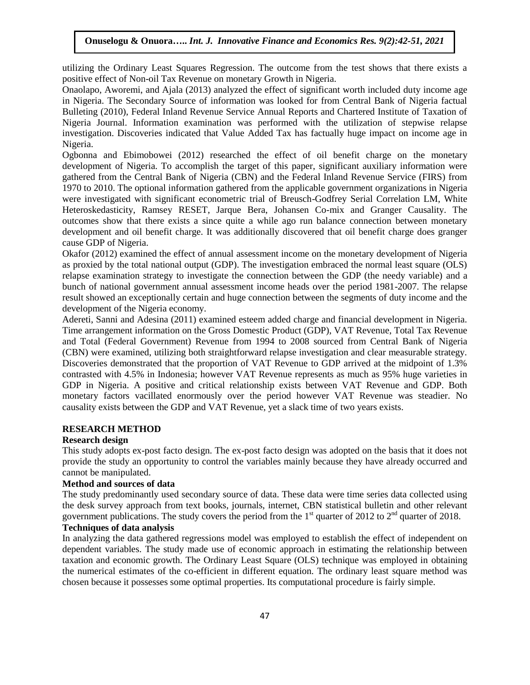utilizing the Ordinary Least Squares Regression. The outcome from the test shows that there exists a positive effect of Non-oil Tax Revenue on monetary Growth in Nigeria.

Onaolapo, Aworemi, and Ajala (2013) analyzed the effect of significant worth included duty income age in Nigeria. The Secondary Source of information was looked for from Central Bank of Nigeria factual Bulleting (2010), Federal Inland Revenue Service Annual Reports and Chartered Institute of Taxation of Nigeria Journal. Information examination was performed with the utilization of stepwise relapse investigation. Discoveries indicated that Value Added Tax has factually huge impact on income age in Nigeria.

Ogbonna and Ebimobowei (2012) researched the effect of oil benefit charge on the monetary development of Nigeria. To accomplish the target of this paper, significant auxiliary information were gathered from the Central Bank of Nigeria (CBN) and the Federal Inland Revenue Service (FIRS) from 1970 to 2010. The optional information gathered from the applicable government organizations in Nigeria were investigated with significant econometric trial of Breusch-Godfrey Serial Correlation LM, White Heteroskedasticity, Ramsey RESET, Jarque Bera, Johansen Co-mix and Granger Causality. The outcomes show that there exists a since quite a while ago run balance connection between monetary development and oil benefit charge. It was additionally discovered that oil benefit charge does granger cause GDP of Nigeria.

Okafor (2012) examined the effect of annual assessment income on the monetary development of Nigeria as proxied by the total national output (GDP). The investigation embraced the normal least square (OLS) relapse examination strategy to investigate the connection between the GDP (the needy variable) and a bunch of national government annual assessment income heads over the period 1981-2007. The relapse result showed an exceptionally certain and huge connection between the segments of duty income and the development of the Nigeria economy.

Adereti, Sanni and Adesina (2011) examined esteem added charge and financial development in Nigeria. Time arrangement information on the Gross Domestic Product (GDP), VAT Revenue, Total Tax Revenue and Total (Federal Government) Revenue from 1994 to 2008 sourced from Central Bank of Nigeria (CBN) were examined, utilizing both straightforward relapse investigation and clear measurable strategy. Discoveries demonstrated that the proportion of VAT Revenue to GDP arrived at the midpoint of 1.3% contrasted with 4.5% in Indonesia; however VAT Revenue represents as much as 95% huge varieties in GDP in Nigeria. A positive and critical relationship exists between VAT Revenue and GDP. Both monetary factors vacillated enormously over the period however VAT Revenue was steadier. No causality exists between the GDP and VAT Revenue, yet a slack time of two years exists.

#### **RESEARCH METHOD**

## **Research design**

This study adopts ex-post facto design. The ex-post facto design was adopted on the basis that it does not provide the study an opportunity to control the variables mainly because they have already occurred and cannot be manipulated.

## **Method and sources of data**

The study predominantly used secondary source of data. These data were time series data collected using the desk survey approach from text books, journals, internet, CBN statistical bulletin and other relevant government publications. The study covers the period from the  $1<sup>st</sup>$  quarter of 2012 to  $2<sup>nd</sup>$  quarter of 2018.

# **Techniques of data analysis**

In analyzing the data gathered regressions model was employed to establish the effect of independent on dependent variables. The study made use of economic approach in estimating the relationship between taxation and economic growth. The Ordinary Least Square (OLS) technique was employed in obtaining the numerical estimates of the co-efficient in different equation. The ordinary least square method was chosen because it possesses some optimal properties. Its computational procedure is fairly simple.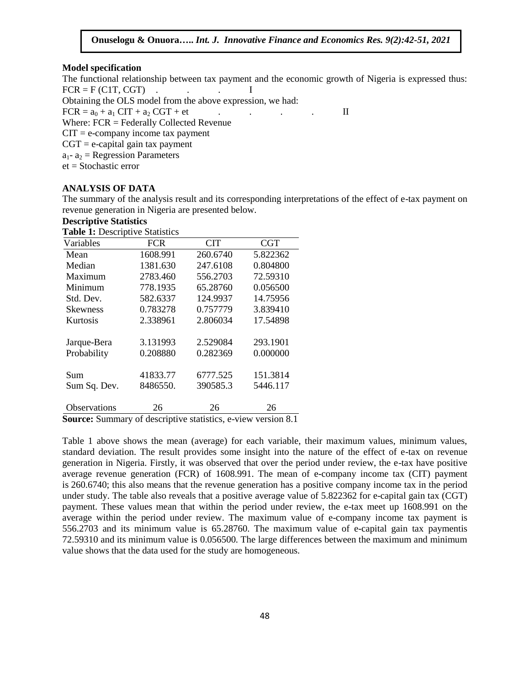## **Model specification**

The functional relationship between tax payment and the economic growth of Nigeria is expressed thus:  $FCR = F (C1T, CGT)$  . . I

Obtaining the OLS model from the above expression, we had:

 $FCR = a_0 + a_1 CIT + a_2 CGT + et$  . . . . II

Where: FCR = Federally Collected Revenue

 $CIT = e$ -company income tax payment

 $CGT = e$ -capital gain tax payment

 $a_1 - a_2$  = Regression Parameters

et = Stochastic error

#### **ANALYSIS OF DATA**

The summary of the analysis result and its corresponding interpretations of the effect of e-tax payment on revenue generation in Nigeria are presented below.

## **Descriptive Statistics**

**Table 1:** Descriptive Statistics

| Variables           | <b>FCR</b> | <b>CIT</b> | <b>CGT</b> |
|---------------------|------------|------------|------------|
| Mean                | 1608.991   | 260.6740   | 5.822362   |
| Median              | 1381.630   | 247.6108   | 0.804800   |
| Maximum             | 2783.460   | 556.2703   | 72.59310   |
| Minimum             | 778.1935   | 65.28760   | 0.056500   |
| Std. Dev.           | 582.6337   | 124.9937   | 14.75956   |
| <b>Skewness</b>     | 0.783278   | 0.757779   | 3.839410   |
| Kurtosis            | 2.338961   | 2.806034   | 17.54898   |
|                     |            |            |            |
| Jarque-Bera         | 3.131993   | 2.529084   | 293.1901   |
| Probability         | 0.208880   | 0.282369   | 0.000000   |
| Sum                 | 41833.77   | 6777.525   | 151.3814   |
| Sum Sq. Dev.        | 8486550.   | 390585.3   | 5446.117   |
| <b>Observations</b> | 26         | 26         | 26         |
|                     |            |            |            |

**Source:** Summary of descriptive statistics, e-view version 8.1

Table 1 above shows the mean (average) for each variable, their maximum values, minimum values, standard deviation. The result provides some insight into the nature of the effect of e-tax on revenue generation in Nigeria. Firstly, it was observed that over the period under review, the e-tax have positive average revenue generation (FCR) of 1608.991. The mean of e-company income tax (CIT) payment is 260.6740; this also means that the revenue generation has a positive company income tax in the period under study. The table also reveals that a positive average value of 5.822362 for e-capital gain tax (CGT) payment. These values mean that within the period under review, the e-tax meet up 1608.991 on the average within the period under review. The maximum value of e-company income tax payment is 556.2703 and its minimum value is 65.28760. The maximum value of e-capital gain tax paymentis 72.59310 and its minimum value is 0.056500. The large differences between the maximum and minimum value shows that the data used for the study are homogeneous.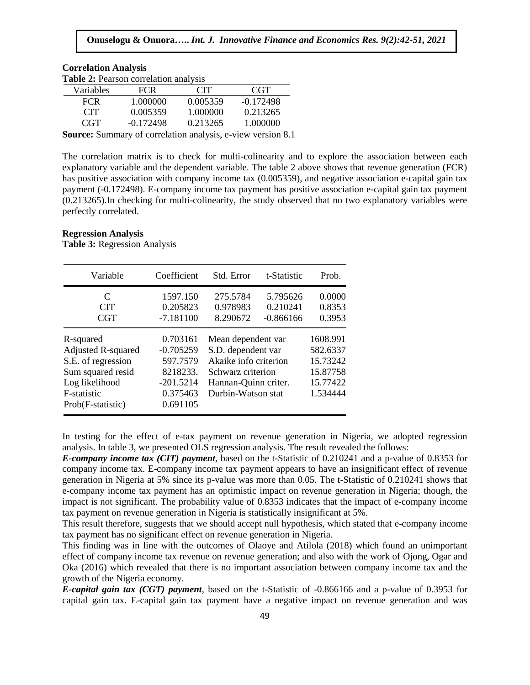| <b>Table 2:</b> Pearson correlation analysis |             |            |             |  |  |  |
|----------------------------------------------|-------------|------------|-------------|--|--|--|
| Variables                                    | <b>FCR</b>  | <b>CIT</b> | <b>CGT</b>  |  |  |  |
| <b>FCR</b>                                   | 1.000000    | 0.005359   | $-0.172498$ |  |  |  |
| <b>CIT</b>                                   | 0.005359    | 1.000000   | 0.213265    |  |  |  |
| CGT                                          | $-0.172498$ | 0.213265   | 1.000000    |  |  |  |

**Source:** Summary of correlation analysis, e-view version 8.1

The correlation matrix is to check for multi-colinearity and to explore the association between each explanatory variable and the dependent variable. The table 2 above shows that revenue generation (FCR) has positive association with company income tax (0.005359), and negative association e-capital gain tax payment (-0.172498). E-company income tax payment has positive association e-capital gain tax payment (0.213265).In checking for multi-colinearity, the study observed that no two explanatory variables were perfectly correlated.

#### **Regression Analysis**

**Correlation Analysis**

**Table 3:** Regression Analysis

| Variable                         | Coefficient          | Std. Error            | t-Statistic | Prob.    |
|----------------------------------|----------------------|-----------------------|-------------|----------|
| $\mathcal{C}_{\mathcal{C}}$      | 1597.150             | 275.5784              | 5.795626    | 0.0000   |
| <b>CIT</b>                       | 0.205823             | 0.978983              | 0.210241    | 0.8353   |
| <b>CGT</b>                       | $-7.181100$          | 8.290672              | $-0.866166$ | 0.3953   |
| R-squared                        | 0.703161             | Mean dependent var    |             | 1608.991 |
| <b>Adjusted R-squared</b>        | $-0.705259$          | S.D. dependent var    |             | 582.6337 |
| S.E. of regression               | 597.7579             | Akaike info criterion |             | 15.73242 |
| Sum squared resid                | 8218233.             | Schwarz criterion     |             | 15.87758 |
| Log likelihood                   | $-201.5214$          | Hannan-Quinn criter.  |             | 15.77422 |
| F-statistic<br>Prob(F-statistic) | 0.375463<br>0.691105 | Durbin-Watson stat    |             | 1.534444 |

In testing for the effect of e-tax payment on revenue generation in Nigeria, we adopted regression analysis. In table 3, we presented OLS regression analysis. The result revealed the follows:

*E-company income tax (CIT) payment*, based on the t-Statistic of 0.210241 and a p-value of 0.8353 for company income tax. E-company income tax payment appears to have an insignificant effect of revenue generation in Nigeria at 5% since its p-value was more than 0.05. The t-Statistic of 0.210241 shows that e-company income tax payment has an optimistic impact on revenue generation in Nigeria; though, the impact is not significant. The probability value of 0.8353 indicates that the impact of e-company income tax payment on revenue generation in Nigeria is statistically insignificant at 5%.

This result therefore, suggests that we should accept null hypothesis, which stated that e-company income tax payment has no significant effect on revenue generation in Nigeria.

This finding was in line with the outcomes of Olaoye and Atilola (2018) which found an unimportant effect of company income tax revenue on revenue generation; and also with the work of Ojong, Ogar and Oka (2016) which revealed that there is no important association between company income tax and the growth of the Nigeria economy.

*E-capital gain tax (CGT) payment*, based on the t-Statistic of -0.866166 and a p-value of 0.3953 for capital gain tax. E-capital gain tax payment have a negative impact on revenue generation and was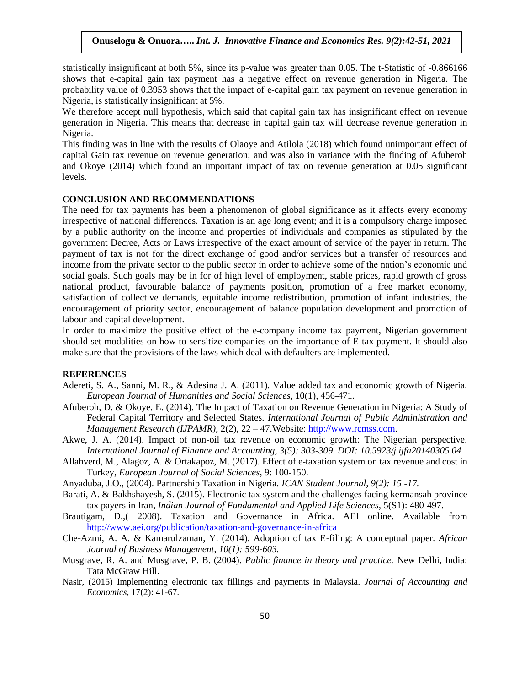statistically insignificant at both 5%, since its p-value was greater than 0.05. The t-Statistic of -0.866166 shows that e-capital gain tax payment has a negative effect on revenue generation in Nigeria. The probability value of 0.3953 shows that the impact of e-capital gain tax payment on revenue generation in Nigeria, is statistically insignificant at 5%.

We therefore accept null hypothesis, which said that capital gain tax has insignificant effect on revenue generation in Nigeria. This means that decrease in capital gain tax will decrease revenue generation in Nigeria.

This finding was in line with the results of Olaoye and Atilola (2018) which found unimportant effect of capital Gain tax revenue on revenue generation; and was also in variance with the finding of Afuberoh and Okoye (2014) which found an important impact of tax on revenue generation at 0.05 significant levels.

## **CONCLUSION AND RECOMMENDATIONS**

The need for tax payments has been a phenomenon of global significance as it affects every economy irrespective of national differences. Taxation is an age long event; and it is a compulsory charge imposed by a public authority on the income and properties of individuals and companies as stipulated by the government Decree, Acts or Laws irrespective of the exact amount of service of the payer in return. The payment of tax is not for the direct exchange of good and/or services but a transfer of resources and income from the private sector to the public sector in order to achieve some of the nation's economic and social goals. Such goals may be in for of high level of employment, stable prices, rapid growth of gross national product, favourable balance of payments position, promotion of a free market economy, satisfaction of collective demands, equitable income redistribution, promotion of infant industries, the encouragement of priority sector, encouragement of balance population development and promotion of labour and capital development.

In order to maximize the positive effect of the e-company income tax payment, Nigerian government should set modalities on how to sensitize companies on the importance of E-tax payment. It should also make sure that the provisions of the laws which deal with defaulters are implemented.

#### **REFERENCES**

- Adereti, S. A., Sanni, M. R., & Adesina J. A. (2011). Value added tax and economic growth of Nigeria. *European Journal of Humanities and Social Sciences,* 10(1)*,* 456-471.
- Afuberoh, D. & Okoye, E. (2014). The Impact of Taxation on Revenue Generation in Nigeria: A Study of Federal Capital Territory and Selected States. *International Journal of Public Administration and Management Research (IJPAMR)*, 2(2), 22 – 47.Website: [http://www.rcmss.com.](http://www.rcmss.com/)
- Akwe, J. A. (2014). Impact of non-oil tax revenue on economic growth: The Nigerian perspective. *International Journal of Finance and Accounting, 3(5): 303-309. DOI: 10.5923/j.ijfa20140305.04*
- Allahverd, M., Alagoz, A. & Ortakapoz, M. (2017). Effect of e-taxation system on tax revenue and cost in Turkey, *European Journal of Social Sciences*, 9: 100-150.
- Anyaduba, J.O., (2004). Partnership Taxation in Nigeria. *ICAN Student Journal, 9(2): 15 -17.*
- Barati, A. & Bakhshayesh, S. (2015). Electronic tax system and the challenges facing kermansah province tax payers in Iran*, Indian Journal of Fundamental and Applied Life Sciences,* 5(S1): 480-497.
- Brautigam, D.,( 2008). Taxation and Governance in Africa. AEI online. Available from <http://www.aei.org/publication/taxation-and-governance-in-africa>
- Che-Azmi, A. A. & Kamarulzaman, Y. (2014). Adoption of tax E-filing: A conceptual paper. *African Journal of Business Management*, *10(1): 599-603.*
- Musgrave, R. A. and Musgrave, P. B. (2004). *Public finance in theory and practice.* New Delhi, India: Tata McGraw Hill.
- Nasir, (2015) Implementing electronic tax fillings and payments in Malaysia. *Journal of Accounting and Economics,* 17(2): 41-67.